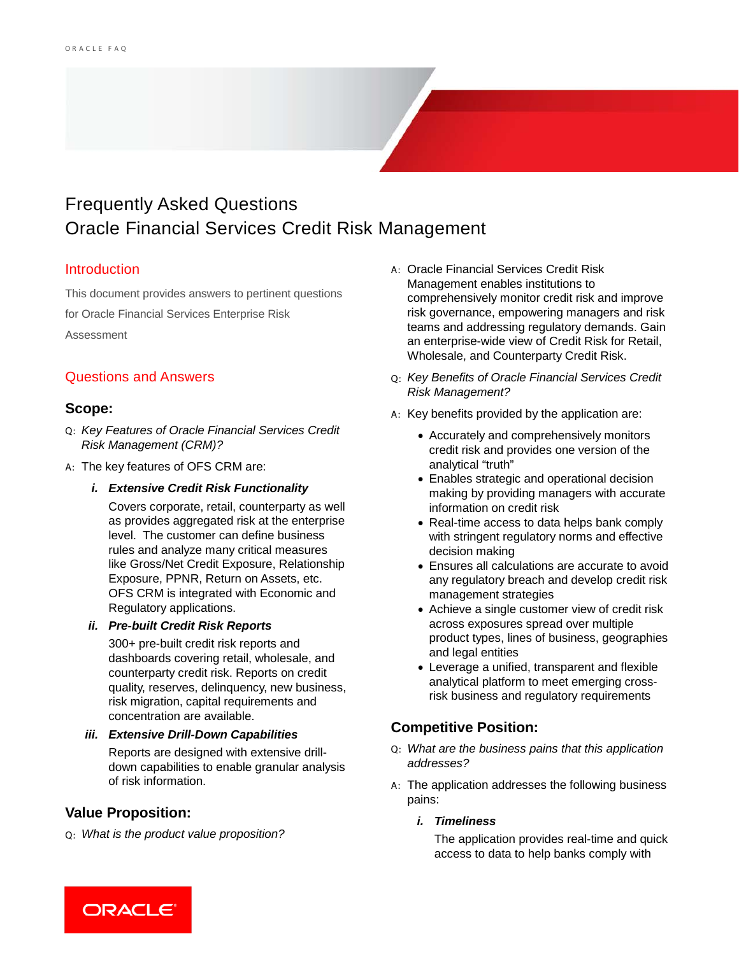# Frequently Asked Questions Oracle Financial Services Credit Risk Management

### Introduction

This document provides answers to pertinent questions for Oracle Financial Services Enterprise Risk Assessment

# Questions and Answers

## **Scope:**

- Q: *Key Features of Oracle Financial Services Credit Risk Management (CRM)?*
- A: The key features of OFS CRM are:
	- *i. Extensive Credit Risk Functionality*

Covers corporate, retail, counterparty as well as provides aggregated risk at the enterprise level. The customer can define business rules and analyze many critical measures like Gross/Net Credit Exposure, Relationship Exposure, PPNR, Return on Assets, etc. OFS CRM is integrated with Economic and Regulatory applications.

#### *ii. Pre-built Credit Risk Reports*

300+ pre-built credit risk reports and dashboards covering retail, wholesale, and counterparty credit risk. Reports on credit quality, reserves, delinquency, new business, risk migration, capital requirements and concentration are available.

*iii. Extensive Drill-Down Capabilities*

Reports are designed with extensive drilldown capabilities to enable granular analysis of risk information.

# **Value Proposition:**

Q: *What is the product value proposition?*

- A: Oracle Financial Services Credit Risk Management enables institutions to comprehensively monitor credit risk and improve risk governance, empowering managers and risk teams and addressing regulatory demands. Gain an enterprise-wide view of Credit Risk for Retail, Wholesale, and Counterparty Credit Risk.
- Q: *Key Benefits of Oracle Financial Services Credit Risk Management?*
- A: Key benefits provided by the application are:
	- Accurately and comprehensively monitors credit risk and provides one version of the analytical "truth"
	- Enables strategic and operational decision making by providing managers with accurate information on credit risk
	- Real-time access to data helps bank comply with stringent regulatory norms and effective decision making
	- Ensures all calculations are accurate to avoid any regulatory breach and develop credit risk management strategies
	- Achieve a single customer view of credit risk across exposures spread over multiple product types, lines of business, geographies and legal entities
	- Leverage a unified, transparent and flexible analytical platform to meet emerging crossrisk business and regulatory requirements

# **Competitive Position:**

- Q: *What are the business pains that this application addresses?*
- A: The application addresses the following business pains:

### *i. Timeliness*

The application provides real-time and quick access to data to help banks comply with